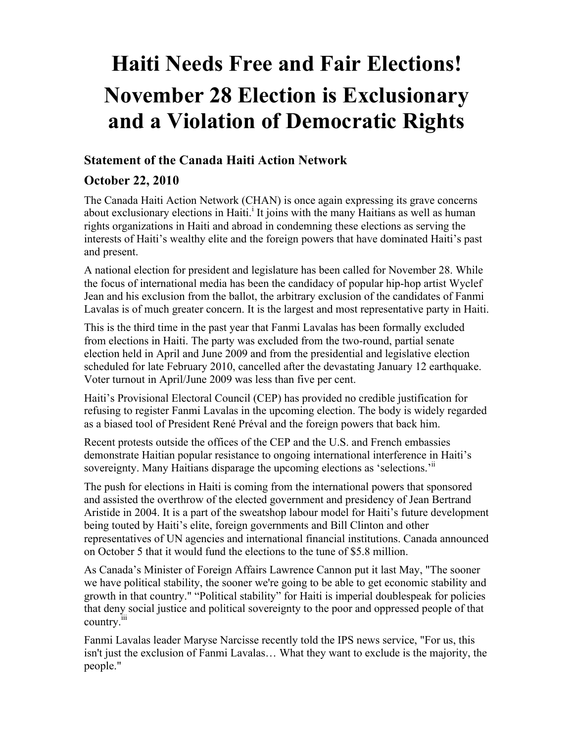## **Haiti Needs Free and Fair Elections! November 28 Election is Exclusionary and a Violation of Democratic Rights**

## **Statement of the Canada Haiti Action Network**

## **October 22, 2010**

The Canada Haiti Action Network (CHAN) is once again expressing its grave concerns about exclusionary elections in Haiti.<sup>1</sup> It joins with the many Haitians as well as human rights organizations in Haiti and abroad in condemning these elections as serving the interests of Haiti's wealthy elite and the foreign powers that have dominated Haiti's past and present.

A national election for president and legislature has been called for November 28. While the focus of international media has been the candidacy of popular hip-hop artist Wyclef Jean and his exclusion from the ballot, the arbitrary exclusion of the candidates of Fanmi Lavalas is of much greater concern. It is the largest and most representative party in Haiti.

This is the third time in the past year that Fanmi Lavalas has been formally excluded from elections in Haiti. The party was excluded from the two-round, partial senate election held in April and June 2009 and from the presidential and legislative election scheduled for late February 2010, cancelled after the devastating January 12 earthquake. Voter turnout in April/June 2009 was less than five per cent.

Haiti's Provisional Electoral Council (CEP) has provided no credible justification for refusing to register Fanmi Lavalas in the upcoming election. The body is widely regarded as a biased tool of President René Préval and the foreign powers that back him.

Recent protests outside the offices of the CEP and the U.S. and French embassies demonstrate Haitian popular resistance to ongoing international interference in Haiti's sovereignty. Many Haitians disparage the upcoming elections as 'selections.'"

The push for elections in Haiti is coming from the international powers that sponsored and assisted the overthrow of the elected government and presidency of Jean Bertrand Aristide in 2004. It is a part of the sweatshop labour model for Haiti's future development being touted by Haiti's elite, foreign governments and Bill Clinton and other representatives of UN agencies and international financial institutions. Canada announced on October 5 that it would fund the elections to the tune of \$5.8 million.

As Canada's Minister of Foreign Affairs Lawrence Cannon put it last May, "The sooner we have political stability, the sooner we're going to be able to get economic stability and growth in that country." "Political stability" for Haiti is imperial doublespeak for policies that deny social justice and political sovereignty to the poor and oppressed people of that country.<sup>iii</sup>

Fanmi Lavalas leader Maryse Narcisse recently told the IPS news service, "For us, this isn't just the exclusion of Fanmi Lavalas… What they want to exclude is the majority, the people."